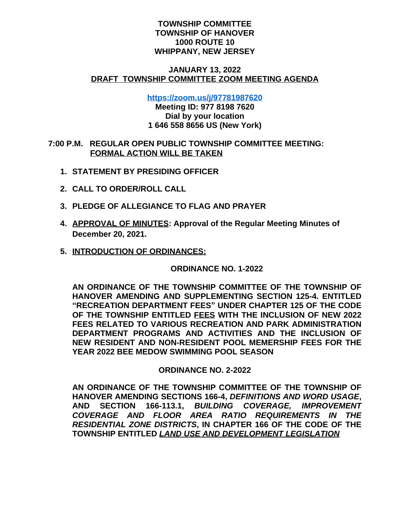# **TOWNSHIP COMMITTEE TOWNSHIP OF HANOVER 1000 ROUTE 10 WHIPPANY, NEW JERSEY**

## **JANUARY 13, 2022 DRAFT TOWNSHIP COMMITTEE ZOOM MEETING AGENDA**

**<https://zoom.us/j/97781987620>**

## **[Meeting ID: 977 8198 7620](https://zoom.us/j/97781987620) [Dial by your location](https://zoom.us/j/97781987620) [1 646 558 8656 US \(New York\)](https://zoom.us/j/97781987620)**

## **[7:00 P.M. REGULAR OPEN PUBLIC TOWNSHIP COMMITTEE MEETING:](https://zoom.us/j/97781987620)  [FORMAL ACTION WILL BE TAKEN](https://zoom.us/j/97781987620)**

- **1. [STATEMENT BY PRESIDING OFFICER](https://zoom.us/j/97781987620)**
- **2. [CALL TO ORDER/ROLL CALL](https://zoom.us/j/97781987620)**
- **3. [PLEDGE OF ALLEGIANCE TO FLAG AND PRAYER](https://zoom.us/j/97781987620)**
- **4. [APPROVAL OF MINUTES:](https://zoom.us/j/97781987620) [Approval of the Regular Meeting Minutes of](https://zoom.us/j/97781987620)  [December 20, 2021.](https://zoom.us/j/97781987620)**
- **5. [INTRODUCTION OF ORDINANCES:](https://zoom.us/j/97781987620)**

**[ORDINANCE NO. 1-2022](https://zoom.us/j/97781987620)**

**AN [ORDINANCE](https://zoom.us/j/97781987620) OF THE TOWNSHIP COMMITTEE OF THE TOWNSHIP OF HANOVER AMENDING AND [SUPPLEMENTING](https://zoom.us/j/97781987620) SECTION 125-4. ENTITLED "RECREATION [DEPARTMENT](https://zoom.us/j/97781987620) FEES" UNDER [CHAPTER](https://zoom.us/j/97781987620) 125 OF THE CODE OF THE [TOWNSHIP](https://zoom.us/j/97781987620) ENTITLED [FEES](https://zoom.us/j/97781987620) WITH THE [INCLUSION](https://zoom.us/j/97781987620) OF NEW [2022](https://zoom.us/j/97781987620) FEES [RELATED](https://zoom.us/j/97781987620) TO VARIOUS RECREATION AND PARK [ADMINISTRATION](https://zoom.us/j/97781987620) [DEPARTMENT](https://zoom.us/j/97781987620) PROGRAMS AND ACTIVITIES AND THE INCLUSION OF NEW RESIDENT AND [NON-RESIDENT](https://zoom.us/j/97781987620) POOL MEMERSHIP FEES FOR [THE](https://zoom.us/j/97781987620) [YEAR 2022 BEE MEDOW SWIMMING POOL SEASON](https://zoom.us/j/97781987620)**

# **[ORDINANCE NO. 2-2022](https://zoom.us/j/97781987620)**

**AN [ORDINANCE](https://zoom.us/j/97781987620) OF THE TOWNSHIP COMMITTEE OF THE TOWNSHIP OF [HANOVER](https://zoom.us/j/97781987620) [AMENDING](https://zoom.us/j/97781987620) SECTIONS 166-4,** *[DEFINITIONS](https://zoom.us/j/97781987620) AND WORD USAGE***[,](https://zoom.us/j/97781987620) AND SECTION [166-113.1,](https://zoom.us/j/97781987620)** *BUILDING COVERAGE, [IMPROVEMENT](https://zoom.us/j/97781987620) [COVERAGE](https://zoom.us/j/97781987620) AND FLOOR AREA RATIO [REQUIREMENTS](https://zoom.us/j/97781987620) IN THE [RESIDENTIAL](https://zoom.us/j/97781987620) ZONE [D](https://zoom.us/j/97781987620)ISTRICTS***, [IN](https://zoom.us/j/97781987620) [CHAPTER](https://zoom.us/j/97781987620) 166 OF THE CODE OF THE [TOWNSHIP ENTITLED](https://zoom.us/j/97781987620)** *[LAND USE AND DEVELOPMENT LEGISLATION](https://zoom.us/j/97781987620)*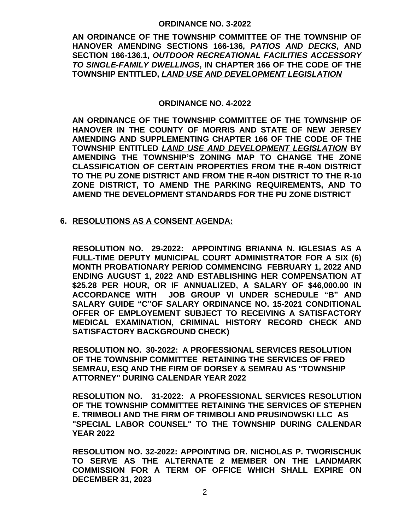#### **ORDINANCE NO. 3-2022**

**AN ORDINANCE OF THE TOWNSHIP COMMITTEE OF THE TOWNSHIP OF HANOVER AMENDING SECTIONS 166-136,** *PATIOS AND DECKS***, AND SECTION 166-136.1,** *OUTDOOR RECREATIONAL FACILITIES ACCESSORY TO SINGLE-FAMILY DWELLINGS***, IN CHAPTER 166 OF THE CODE OF THE TOWNSHIP ENTITLED,** *LAND USE AND DEVELOPMENT LEGISLATION*

## **ORDINANCE NO. 4-2022**

**AN ORDINANCE OF THE TOWNSHIP COMMITTEE OF THE TOWNSHIP OF HANOVER IN THE COUNTY OF MORRIS AND STATE OF NEW JERSEY AMENDING AND SUPPLEMENTING CHAPTER 166 OF THE CODE OF THE TOWNSHIP ENTITLED** *LAND USE AND DEVELOPMENT LEGISLATION* **BY AMENDING THE TOWNSHIP'S ZONING MAP TO CHANGE THE ZONE CLASSIFICATION OF CERTAIN PROPERTIES FROM THE R-40N DISTRICT TO THE PU ZONE DISTRICT AND FROM THE R-40N DISTRICT TO THE R-10 ZONE DISTRICT, TO AMEND THE PARKING REQUIREMENTS, AND TO AMEND THE DEVELOPMENT STANDARDS FOR THE PU ZONE DISTRICT**

# **6. RESOLUTIONS AS A CONSENT AGENDA:**

**RESOLUTION NO. 29-2022: APPOINTING BRIANNA N. IGLESIAS AS A FULL-TIME DEPUTY MUNICIPAL COURT ADMINISTRATOR FOR A SIX (6) MONTH PROBATIONARY PERIOD COMMENCING FEBRUARY 1, 2022 AND ENDING AUGUST 1, 2022 AND ESTABLISHING HER COMPENSATION AT \$25.28 PER HOUR, OR IF ANNUALIZED, A SALARY OF \$46,000.00 IN ACCORDANCE WITH JOB GROUP VI UNDER SCHEDULE "B" AND SALARY GUIDE "C"OF SALARY ORDINANCE NO. 15-2021 CONDITIONAL OFFER OF EMPLOYEMENT SUBJECT TO RECEIVING A SATISFACTORY MEDICAL EXAMINATION, CRIMINAL HISTORY RECORD CHECK AND SATISFACTORY BACKGROUND CHECK)**

**RESOLUTION NO. 30-2022: A PROFESSIONAL SERVICES RESOLUTION OF THE TOWNSHIP COMMITTEE RETAINING THE SERVICES OF FRED SEMRAU, ESQ AND THE FIRM OF DORSEY & SEMRAU AS "TOWNSHIP ATTORNEY" DURING CALENDAR YEAR 2022**

**RESOLUTION NO. 31-2022: A PROFESSIONAL SERVICES RESOLUTION OF THE TOWNSHIP COMMITTEE RETAINING THE SERVICES OF STEPHEN E. TRIMBOLI AND THE FIRM OF TRIMBOLI AND PRUSINOWSKI LLC AS "SPECIAL LABOR COUNSEL" TO THE TOWNSHIP DURING CALENDAR YEAR 2022**

**RESOLUTION NO. 32-2022: APPOINTING DR. NICHOLAS P. TWORISCHUK TO SERVE AS THE ALTERNATE 2 MEMBER ON THE LANDMARK COMMISSION FOR A TERM OF OFFICE WHICH SHALL EXPIRE ON DECEMBER 31, 2023**